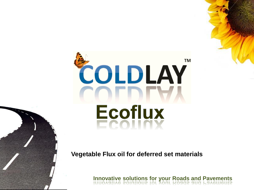

**Vegetable Flux oil for deferred set materials**

**Innovative solutions for your Roads and Pavements**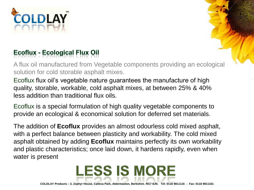

## **Ecoflux - Ecological Flux Oil**

A flux oil manufactured from Vegetable components providing an ecological solution for cold storable asphalt mixes.

Ecoflux flux oil's vegetable nature guarantees the manufacture of high quality, storable, workable, cold asphalt mixes, at between 25% & 40% less addition than traditional flux oils.

Ecoflux is a special formulation of high quality vegetable components to provide an ecological & economical solution for deferred set materials.

The addition of **Ecoflux** provides an almost odourless cold mixed asphalt, with a perfect balance between plasticity and workability. The cold mixed asphalt obtained by adding **Ecoflux** maintains perfectly its own workability and plastic characteristics; once laid down, it hardens rapidly, even when water is present



**LESS IS MORE**